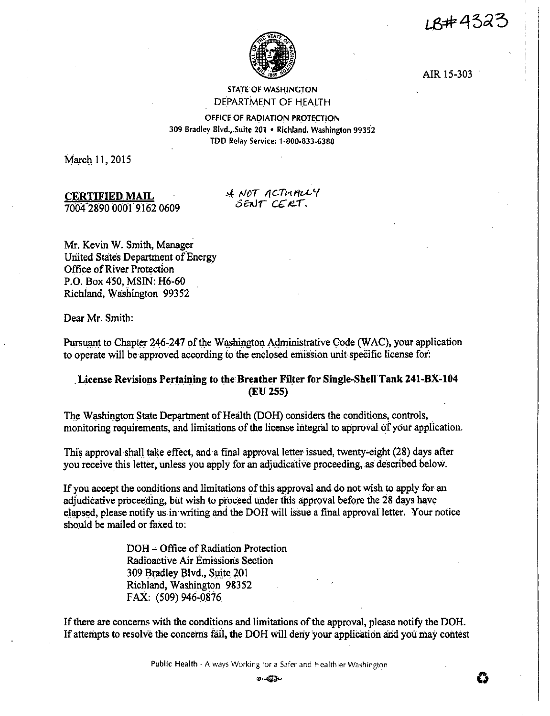LB#4323



AIR 15-303

# STATE OF WASHINGTON DEPARTMENT OF HEALTH

OFFICE OF RADIATION PROTECTION 309 Bradley Blvd., Suite 201 • Richland, Washington 99352 TDD Relay Service: 1-800-833-6388

March 11, 2015

# **CERTIFIED. MAIL**  7004 2890 000l9.162 0609

& NOT ACTUALY *SENT CERT.* 

Mr. Kevin W. Smith, Manager United States Department of Energy Office of River Protection P.O. Box 450, MSIN: H6-60 Richiand, Washington 99352

Dear Mr. Smith:

Pursuant to Chapter 246-247 of the W ashington Administrative Code (WAC), your application to operate will be approved according to the enclosed emission unit specific license for:

# License Revisions Pertaining to the Breather Filter for Single-Shell Tank 241-BX-104 **(EU255)**

The Washington State Department of Health (DOH) considers the conditions, controls, monitoring requirements, and limitations of the license integral to approval of your application.

This approval shall take effect, and a final approval letter issued, twenty-eight (28) days after you receive this letter, unless you apply for an adjudicative proceeding, as described below.

If you accept the conditions and limitations of this approval and do not wish to apply for an adjudicative proceeding, but wish to proceed under this approval before the 28 days have elapsed, please notify us in writing and the DOH will issue a final approval letter. Your notice should be mailed or faxed to:

> DOH~ Office of Radiation Protection Radioactive Air Emissions Section 309 Bradley Blvd., Suite 201 Richland, Washington 98352 FAX: (509) 946-0876

If there are concerns with the conditions and limitations of the approval, please notify the DOH. If attempts to resolve the concerns fail, the DOH will deny your application and you may contest

**Public Health · Always Working for a Safer and Healthier Washington**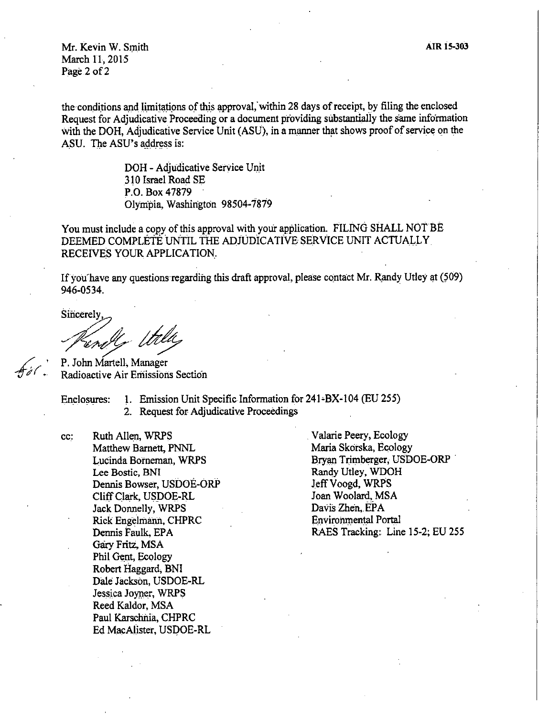Mr. Kevin W. Smith March 11, 2015 Page 2 of 2

the conditions and limitations of this approval, within 28 days of receipt, by filing the enclosed Request for Adjudicative Proceeding or a document providing substantially the same information with the DOH, Adjudicative Service Unit (ASU), in a manner that shows proof of service on the ASU. The ASU's address is:

> DOH - Adjudicative Service Unit 310 Israel Road SE P.O. Box 47879 Olympia, Washington 98504-7879

You must include a copy of this approval with your application. FILING SHALL NOT BE DEEMED COMPLETE UNTIL THE ADJUDICATIVE SERVICE UNIT ACTUALLY RECEIVES YOUR APPLICATION.

If you have any questions regarding this draft approval, please contact Mr. Randy Utley at (509) 946-0534, .

Sincerely

P. John Martell, Manager Radioactive Air Emissions Section

Enclosures: 1. Emission Unit Specific Information for 241-BX-104 (EU 255)

2. Request for Adjudicative Proceedings

cc: Ruth Allen, WRPS Matthew Barnett, PNNL Lucinda Borneman, WRPS Lee Bostic, BNI Dennis Bowser, USDOE-ORP Cliff Clark, USDOE-RL Jack Donnelly, WRPS Rick Engelmann, CHPRC Dennis Faulk, EPA Gary Fritz. MSA Phil Gent, Ecology Robert Haggard, BNI Dale Jackson, USDOE-RL Jessica Jomer, WRPS Reed Kaldor, MSA Paul Karschnia, CHPRC Ed MacAlister, USDOE-RL

. Valarie Peery, Ecology Maria Skorska, Ecology Bryan Trimberger, USDOE-ORP . Randy Utley, WDOH Jeff Voogd, WRPS Joan Woolard, MSA Davis Zhen, EPA Environmental Portal RAES Tracking: Line 15-2; EU 255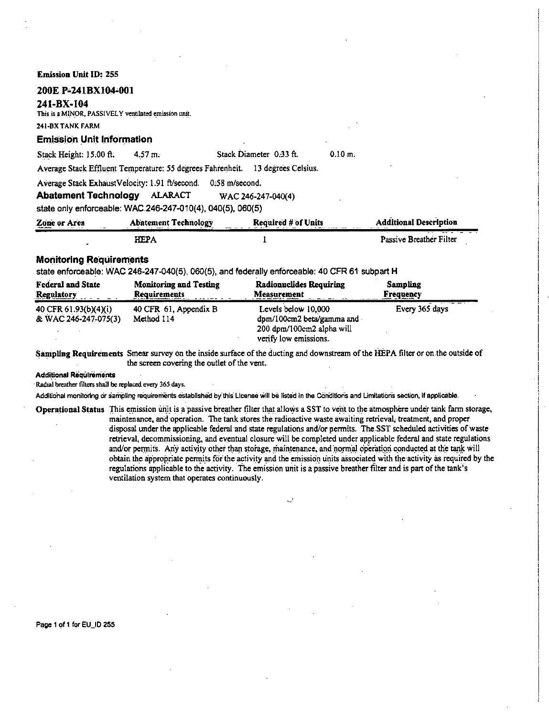**Emission Unit** ID: 255

# **200E P-241BX104-00I**

#### **241-BX-104**

This is a MINOR, PASSIVELY ventilated emission unit.

#### 241-BXTANK FARM

# **Emission Unit Information**

Stack Height:  $15.00 \text{ ft}$ . 4.57 m. Stack Diameter 0.33 ft.

0.10 m.

Average Stack Effluent Temperature: 55 degrees Fahrenheit. 13 degrees Celsius.

Average Stack ExhaustVelocity: 1.91 ft/second. 0.58 m/second.

**Abatement Technology** ALARACT WAC 246-247-040(4)

state only enforceable: WAC.246-247-010(4), 040(5), 060(5)

| Zone or Area<br><b>A The Constitution of the Constitution</b><br>---<br>- - | Abatement Technology | <b>Required # of Units</b> | <b>Additional Description</b> |
|-----------------------------------------------------------------------------|----------------------|----------------------------|-------------------------------|
|                                                                             | ТЕРА                 |                            | Passive Breather Filter       |

# **Monitoring Requirements**

state enforceable: WAC 246-247-040(5), 060(5), and federally enforceable: 40 CFR 61 subpart H

| <b>Federal and State</b>                      | <b>Monitoring and Testing</b>       | <b>Radionuclides Requiring</b>                                                                         | Sampling         |
|-----------------------------------------------|-------------------------------------|--------------------------------------------------------------------------------------------------------|------------------|
| <b>Regulatory</b>                             | Requirements                        | <b>Measurement</b>                                                                                     | <b>Frequency</b> |
| 40 CFR 61.93(b)(4)(i)<br>& WAC 246-247-075(3) | 40 CFR 61, Appendix B<br>Method 114 | Levels below 10,000<br>dpm/100cm2 beta/gamma and<br>200 dpm/100cm2.alpha will<br>verify low emissions. | Every 365 days   |

**Sampling Requirements** Smear survey on the inside surface of the ducting and downstream of the HEPA tilter or on the outside of the screen covering the outlet of the vent.

**Additional Requirements** 

Radial breather filters shall be replaced every 365 days.

Additional monitoring or sampling requirements established by this License will be listed in the Conditions and Limitations section, if applicable.

Operational Status This emission unit is a passive breather filter that allows a SST to vent to the atmosphere under tank farm storage, maintenance, and operation. The tank stores the radioactive waste awaiting retrieval, treatment, and proper disposal under the applicable federal and state regulations andior permits. The.SST scheduled activities ofwaste retrieval, decommissioning, and eventual closure will be completed under applicable federal and state regulations and/or permits. Any activity other than storage, maintenance, and normal operation conducted at the tank will obtain the appropriate permits for the activity and the emission units associated with the activity as required by the regulations applicable to the activity. The emission unit is a passive breather filter and is part of the tank's ventilation system that operates continuously.

Page 1 of 1 for EU\_ID 255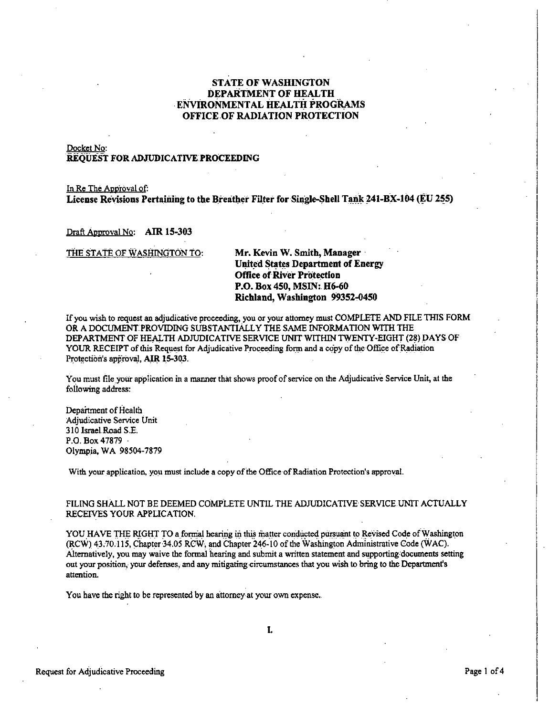# STATE OF WASHINGTON DEPARTMENT OF HEALTH ENVIRONMENTAL HEALTH PROGRAMS OFFICE OF RADIATION PROTECTION

# Docket No: REQUEST FOR ADJUDICATIVE PROCEEDING

In Re The Approval of: **License Revisions Pertaining to the Breather Filter for Single-Shell Tank 241-BX-104 (EU 255)** 

Draft Approval No: **Affi 15-303** 

THE STATE OF WASHINGTON TO: **Mr. Kevin W.** Smith, **Manager** ·

# **United States Department of Energy Office of River Protection P.O. Box 450, MSIN: H6-60 Richland, Washington 99352-0450**

If you wish to request an adjudicative proceeding, you or your attorney must COMPLETE AND FILE THIS FORM OR A DOCUMENT PROVIDING SUBSTANTIALLY THE SAME INFORMATION WITH THE DEPARTMENT OF HEALTH ADJUDICATIVE SERVICE UNIT WITHIN TWENTY-EIGHT (28) DAYS OF YOUR RECEIPT of this Request for Adjudicative Proceeding form and a copy of the Office of Radiation Protection's approval, AIR 15-303.

You must file your application in a manner that shows proof of service on the Adjudicative Service Unit, at the following address:

Department of Health Adjudicative Service Unit 310 Israel Road S.E. P.O. Box 47879 Olympia, WA 98504-7879

With your application, you must include a copy of the Office of Radiation Protection's approval.

#### FILING SHALL NOT BE DEEMED COMPLETE UNTIL THE ADJUDICATIVE SERVICE UNIT ACTUALLY RECEIVES YOUR APPLICATION.

YOU HAVE THE RIGHT TO a formal hearing in this matter conducted pursuant to Revised Code of Washington (RCW) 43.70.115, Chapter 34.05 RCW, and Chapter 246-10 of the Washington Administrative Code (WAC). Alternatively, you may waive the formal hearing and submit a written statement and supporting documents setting out your position, your defenses, and any mitigating circumstances that you wish to bring to the Department's attention.

You have the right to be represented by an attorney-at your own expense.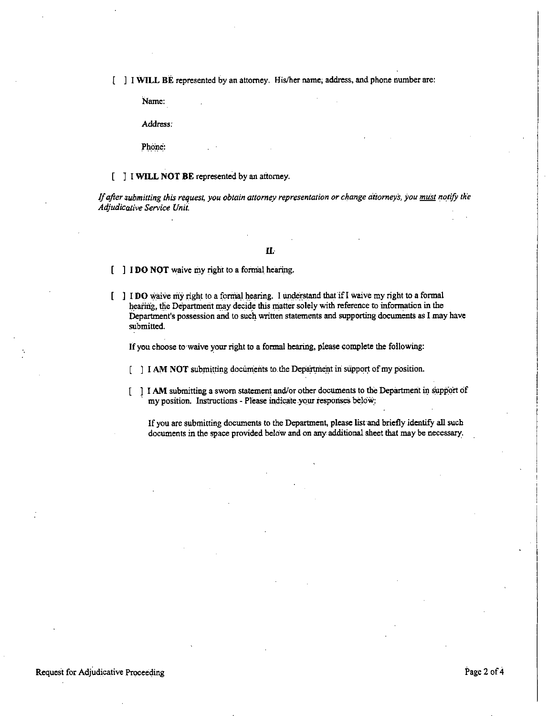[ ] I **WILL** BE represented by an attorney. His/her name; address, and phone number are:

Name:

Address:

Phone:

#### [ J I **WILL NOT BE** represented by an attorney.

*If after submitting this request, you obtain attorney representation or change ditorneys, you must notify the Adjudicative Service Unit.* 

#### **ll.**

**I DO NOT** waive my right to a formal hearing.

I **DO** ,,;,aive riiy Jigh\_t to a fonila\_l l,\_earing. I unAAJ:Stand thafifl waive my right to a formal hearing, the Department may decide this matter solely with reference to information in the Department's possession and to such written statements and supporting documents as **l** may have submitted.

If you choose to waive your right to a formal hearing, please complete the following:

[] I **AM NOT** submitting documents to the Department in support of my position.

I I **AM** submitting a sworn statement and/or other documents to the Department in support of my position. Instructions - Please indicate your responses below: ſ

If you are submitting documents to the Department, please list and briefly identify all such documents in the space provided below and on any additional sheet that may be necessary.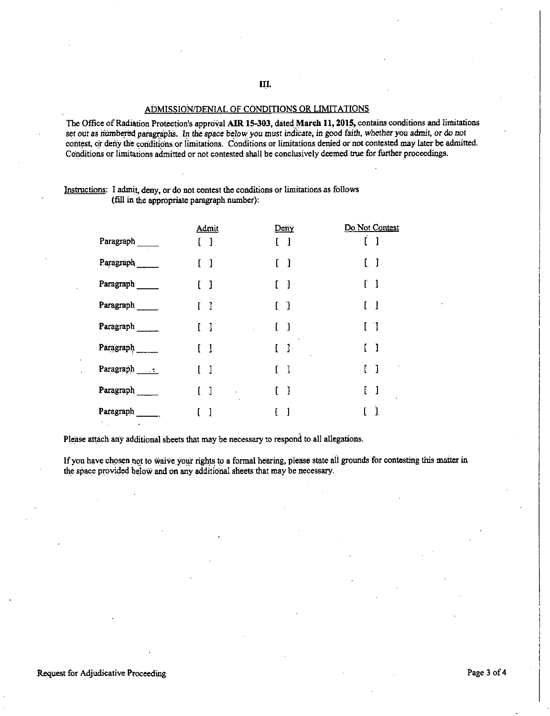# ADMISSION/DENIAL OF CONDITIONS OR LIMITATIONS

The Office of Radiation Protection's approval AIR 15-303, dated March 11, 2015, contains conditions and limitations set out as *numbered* paragraphs. In the space below you must indicate, in good faith, whether you admit, or do not contest, or deny the conditions or limitations. Conditions or limitations denied or not contested may later be admitted. Conditions or limitations admitted or not contested shall be conclusively deemed true for further proceedings.

Instructions: I admit, deny, or do not contest the conditions or limitations as follows (fill in the appropriate paragraph number):

|           | Admit                                  | Deny                                | Do Not Contest                    |
|-----------|----------------------------------------|-------------------------------------|-----------------------------------|
| Paragraph | $\begin{bmatrix} 1 \end{bmatrix}$      | -1                                  | $\begin{bmatrix} 1 \end{bmatrix}$ |
| Paragraph | $\begin{array}{c} \square \end{array}$ | - 1                                 | $\lfloor \ \rfloor$               |
| Paragraph | 〔 〕                                    | -1<br>L                             | $\begin{bmatrix} 1 \end{bmatrix}$ |
| Paragraph | $\begin{bmatrix} 1 \end{bmatrix}$      | $\begin{bmatrix} 1 \end{bmatrix}$   | $\mathbf{I}$                      |
| Paragraph | $\mathbf{J}$                           | $\begin{bmatrix} 1 \end{bmatrix}$   | $\begin{bmatrix} 1 \end{bmatrix}$ |
| Paragraph | [ ]                                    | $\begin{array}{c} \end{array}$<br>L | $\begin{bmatrix} 1 \end{bmatrix}$ |
| Paragraph | $\mathbf{1}$                           | -1                                  | - 1                               |
| Paragraph | -1                                     | -1                                  | $\mathbf{l}$                      |
| Paragraph | 1                                      | 1                                   | $\mathbf{1}$                      |

Please attach any additional sheets that may be necessary to respond to.all allegations.

If you have chosen not to waive your rights to a formal hearing, please state all grounds for contesting this matter in the space provided below and on any additional sheets that may be necessary.